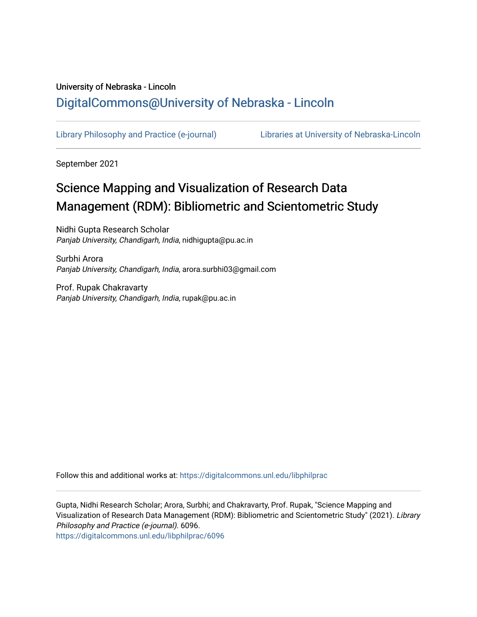## University of Nebraska - Lincoln [DigitalCommons@University of Nebraska - Lincoln](https://digitalcommons.unl.edu/)

[Library Philosophy and Practice \(e-journal\)](https://digitalcommons.unl.edu/libphilprac) [Libraries at University of Nebraska-Lincoln](https://digitalcommons.unl.edu/libraries) 

September 2021

# Science Mapping and Visualization of Research Data Management (RDM): Bibliometric and Scientometric Study

Nidhi Gupta Research Scholar Panjab University, Chandigarh, India, nidhigupta@pu.ac.in

Surbhi Arora Panjab University, Chandigarh, India, arora.surbhi03@gmail.com

Prof. Rupak Chakravarty Panjab University, Chandigarh, India, rupak@pu.ac.in

Follow this and additional works at: [https://digitalcommons.unl.edu/libphilprac](https://digitalcommons.unl.edu/libphilprac?utm_source=digitalcommons.unl.edu%2Flibphilprac%2F6096&utm_medium=PDF&utm_campaign=PDFCoverPages) 

Gupta, Nidhi Research Scholar; Arora, Surbhi; and Chakravarty, Prof. Rupak, "Science Mapping and Visualization of Research Data Management (RDM): Bibliometric and Scientometric Study" (2021). Library Philosophy and Practice (e-journal). 6096. [https://digitalcommons.unl.edu/libphilprac/6096](https://digitalcommons.unl.edu/libphilprac/6096?utm_source=digitalcommons.unl.edu%2Flibphilprac%2F6096&utm_medium=PDF&utm_campaign=PDFCoverPages)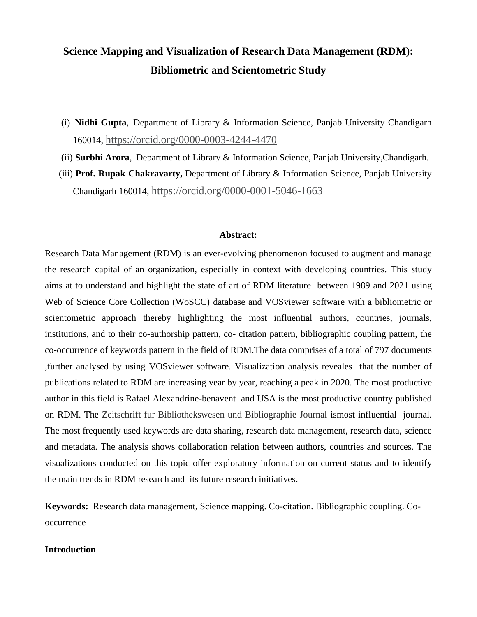## **Science Mapping and Visualization of Research Data Management (RDM): Bibliometric and Scientometric Study**

- (i) **Nidhi Gupta**, Department of Library & Information Science, Panjab University Chandigarh 160014, <https://orcid.org/0000-0003-4244-4470>
- (ii) **Surbhi Arora**, Department of Library & Information Science, Panjab University,Chandigarh.
- (iii) **Prof. Rupak Chakravarty,** Department of Library & Information Science, Panjab University Chandigarh 160014, <https://orcid.org/0000-0001-5046-1663>

#### **Abstract:**

Research Data Management (RDM) is an ever-evolving phenomenon focused to augment and manage the research capital of an organization, especially in context with developing countries. This study aims at to understand and highlight the state of art of RDM literature between 1989 and 2021 using Web of Science Core Collection (WoSCC) database and VOSviewer software with a bibliometric or scientometric approach thereby highlighting the most influential authors, countries, journals, institutions, and to their co-authorship pattern, co- citation pattern, bibliographic coupling pattern, the co-occurrence of keywords pattern in the field of RDM.The data comprises of a total of 797 documents ,further analysed by using VOSviewer software. Visualization analysis reveales that the number of publications related to RDM are increasing year by year, reaching a peak in 2020. The most productive author in this field is Rafael Alexandrine-benavent and USA is the most productive country published on RDM. The Zeitschrift fur Bibliothekswesen und Bibliographie Journal ismost influential journal. The most frequently used keywords are data sharing, research data management, research data, science and metadata. The analysis shows collaboration relation between authors, countries and sources. The visualizations conducted on this topic offer exploratory information on current status and to identify the main trends in RDM research and its future research initiatives.

**Keywords:** Research data management, Science mapping. Co-citation. Bibliographic coupling. Cooccurrence

#### **Introduction**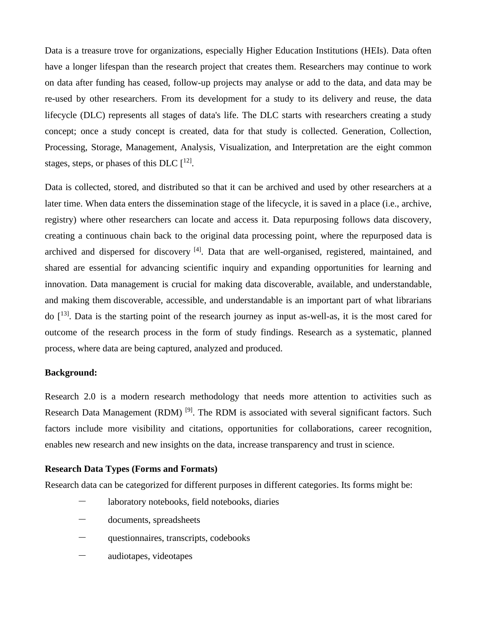Data is a treasure trove for organizations, especially Higher Education Institutions (HEIs). Data often have a longer lifespan than the research project that creates them. Researchers may continue to work on data after funding has ceased, follow-up projects may analyse or add to the data, and data may be re-used by other researchers. From its development for a study to its delivery and reuse, the data lifecycle (DLC) represents all stages of data's life. The DLC starts with researchers creating a study concept; once a study concept is created, data for that study is collected. Generation, Collection, Processing, Storage, Management, Analysis, Visualization, and Interpretation are the eight common stages, steps, or phases of this DLC  $[$ <sup>12]</sup>.

Data is collected, stored, and distributed so that it can be archived and used by other researchers at a later time. When data enters the dissemination stage of the lifecycle, it is saved in a place (i.e., archive, registry) where other researchers can locate and access it. Data repurposing follows data discovery, creating a continuous chain back to the original data processing point, where the repurposed data is archived and dispersed for discovery <sup>[4]</sup>. Data that are well-organised, registered, maintained, and shared are essential for advancing scientific inquiry and expanding opportunities for learning and innovation. Data management is crucial for making data discoverable, available, and understandable, and making them discoverable, accessible, and understandable is an important part of what librarians do  $[13]$ . Data is the starting point of the research journey as input as-well-as, it is the most cared for outcome of the research process in the form of study findings. Research as a systematic, planned process, where data are being captured, analyzed and produced.

#### **Background:**

Research 2.0 is a modern research methodology that needs more attention to activities such as Research Data Management (RDM)<sup>[9]</sup>. The RDM is associated with several significant factors. Such factors include more visibility and citations, opportunities for collaborations, career recognition, enables new research and new insights on the data, increase transparency and trust in science.

#### **Research Data Types (Forms and Formats)**

Research data can be categorized for different purposes in different categories. Its forms might be:

- laboratory notebooks, field notebooks, diaries
- documents, spreadsheets
- questionnaires, transcripts, codebooks
- audiotapes, videotapes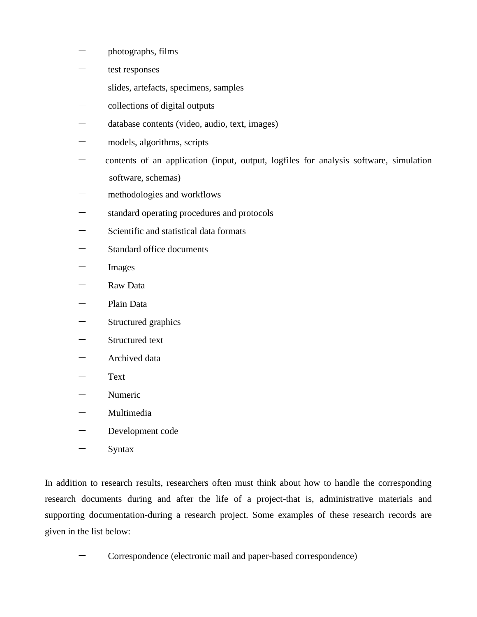- photographs, films
- $-$  test responses
- slides, artefacts, specimens, samples
- collections of digital outputs
- database contents (video, audio, text, images)
- models, algorithms, scripts
- contents of an application (input, output, logfiles for analysis software, simulation software, schemas)
- methodologies and workflows
- standard operating procedures and protocols
- Scientific and statistical data formats
- Standard office documents
- Images
- Raw Data
- Plain Data
- Structured graphics
- Structured text
- Archived data
- Text
- Numeric
- **Multimedia**
- Development code
- **Syntax**

In addition to research results, researchers often must think about how to handle the corresponding research documents during and after the life of a project-that is, administrative materials and supporting documentation-during a research project. Some examples of these research records are given in the list below:

- Correspondence (electronic mail and paper-based correspondence)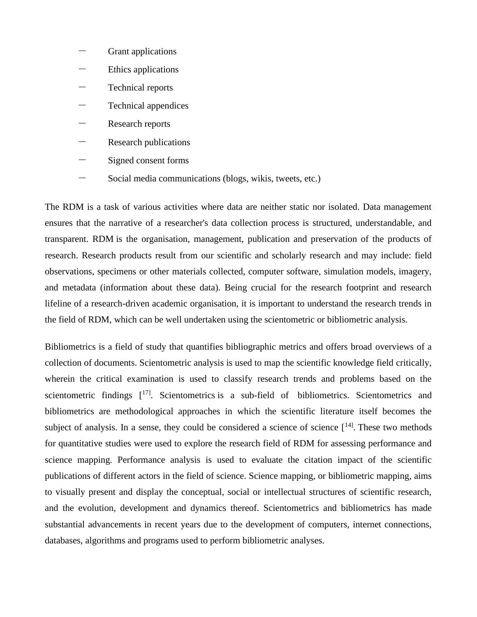- Grant applications
- Ethics applications
- Technical reports
- Technical appendices
- Research reports
- Research publications
- Signed consent forms
- Social media communications (blogs, wikis, tweets, etc.)

The RDM is a task of various activities where data are neither static nor isolated. Data management ensures that the narrative of a researcher's data collection process is structured, understandable, and transparent. RDM is the organisation, management, publication and preservation of the products of research. Research products result from our scientific and scholarly research and may include: field observations, specimens or other materials collected, computer software, simulation models, imagery, and metadata (information about these data). Being crucial for the research footprint and research lifeline of a research-driven academic organisation, it is important to understand the research trends in the field of RDM, which can be well undertaken using the scientometric or bibliometric analysis.

Bibliometrics is a field of study that quantifies bibliographic metrics and offers broad overviews of a collection of documents. Scientometric analysis is used to map the scientific knowledge field critically, wherein the critical examination is used to classify research trends and problems based on the scientometric findings  $[17]$ . Scientometrics is a sub-field of bibliometrics. Scientometrics and bibliometrics are methodological approaches in which the scientific literature itself becomes the subject of analysis. In a sense, they could be considered a science of science  $[$ <sup>14]</sup>. These two methods for quantitative studies were used to explore the research field of RDM for assessing performance and science mapping. Performance analysis is used to evaluate the citation impact of the scientific publications of different actors in the field of science. Science mapping, or bibliometric mapping, aims to visually present and display the conceptual, social or intellectual structures of scientific research, and the evolution, development and dynamics thereof. Scientometrics and bibliometrics has made substantial advancements in recent years due to the development of computers, internet connections, databases, algorithms and programs used to perform bibliometric analyses.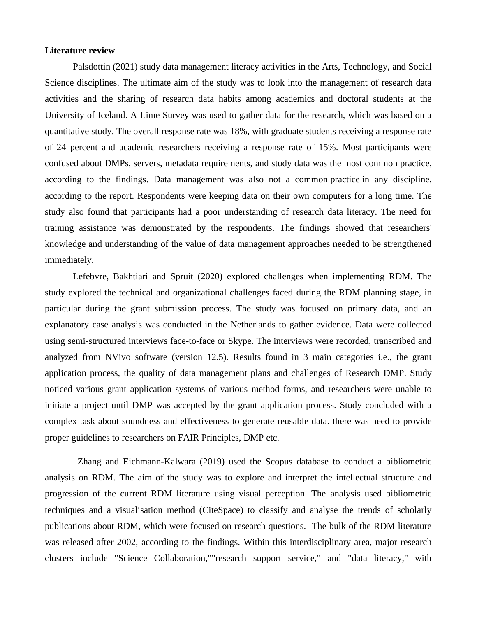#### **Literature review**

Palsdottin (2021) study data management literacy activities in the Arts, Technology, and Social Science disciplines. The ultimate aim of the study was to look into the management of research data activities and the sharing of research data habits among academics and doctoral students at the University of Iceland. A Lime Survey was used to gather data for the research, which was based on a quantitative study. The overall response rate was 18%, with graduate students receiving a response rate of 24 percent and academic researchers receiving a response rate of 15%. Most participants were confused about DMPs, servers, metadata requirements, and study data was the most common practice, according to the findings. Data management was also not a common practice in any discipline, according to the report. Respondents were keeping data on their own computers for a long time. The study also found that participants had a poor understanding of research data literacy. The need for training assistance was demonstrated by the respondents. The findings showed that researchers' knowledge and understanding of the value of data management approaches needed to be strengthened immediately.

Lefebvre, Bakhtiari and Spruit (2020) explored challenges when implementing RDM. The study explored the technical and organizational challenges faced during the RDM planning stage, in particular during the grant submission process. The study was focused on primary data, and an explanatory case analysis was conducted in the Netherlands to gather evidence. Data were collected using semi-structured interviews face-to-face or Skype. The interviews were recorded, transcribed and analyzed from NVivo software (version 12.5). Results found in 3 main categories i.e., the grant application process, the quality of data management plans and challenges of Research DMP. Study noticed various grant application systems of various method forms, and researchers were unable to initiate a project until DMP was accepted by the grant application process. Study concluded with a complex task about soundness and effectiveness to generate reusable data. there was need to provide proper guidelines to researchers on FAIR Principles, DMP etc.

 Zhang and Eichmann-Kalwara (2019) used the Scopus database to conduct a bibliometric analysis on RDM. The aim of the study was to explore and interpret the intellectual structure and progression of the current RDM literature using visual perception. The analysis used bibliometric techniques and a visualisation method (CiteSpace) to classify and analyse the trends of scholarly publications about RDM, which were focused on research questions. The bulk of the RDM literature was released after 2002, according to the findings. Within this interdisciplinary area, major research clusters include "Science Collaboration,""research support service," and "data literacy," with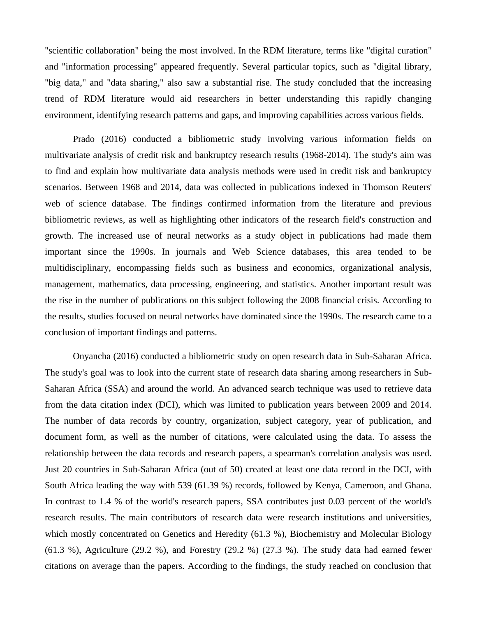"scientific collaboration" being the most involved. In the RDM literature, terms like "digital curation" and "information processing" appeared frequently. Several particular topics, such as "digital library, "big data," and "data sharing," also saw a substantial rise. The study concluded that the increasing trend of RDM literature would aid researchers in better understanding this rapidly changing environment, identifying research patterns and gaps, and improving capabilities across various fields.

Prado (2016) conducted a bibliometric study involving various information fields on multivariate analysis of credit risk and bankruptcy research results (1968-2014). The study's aim was to find and explain how multivariate data analysis methods were used in credit risk and bankruptcy scenarios. Between 1968 and 2014, data was collected in publications indexed in Thomson Reuters' web of science database. The findings confirmed information from the literature and previous bibliometric reviews, as well as highlighting other indicators of the research field's construction and growth. The increased use of neural networks as a study object in publications had made them important since the 1990s. In journals and Web Science databases, this area tended to be multidisciplinary, encompassing fields such as business and economics, organizational analysis, management, mathematics, data processing, engineering, and statistics. Another important result was the rise in the number of publications on this subject following the 2008 financial crisis. According to the results, studies focused on neural networks have dominated since the 1990s. The research came to a conclusion of important findings and patterns.

Onyancha (2016) conducted a bibliometric study on open research data in Sub-Saharan Africa. The study's goal was to look into the current state of research data sharing among researchers in Sub-Saharan Africa (SSA) and around the world. An advanced search technique was used to retrieve data from the data citation index (DCI), which was limited to publication years between 2009 and 2014. The number of data records by country, organization, subject category, year of publication, and document form, as well as the number of citations, were calculated using the data. To assess the relationship between the data records and research papers, a spearman's correlation analysis was used. Just 20 countries in Sub-Saharan Africa (out of 50) created at least one data record in the DCI, with South Africa leading the way with 539 (61.39 %) records, followed by Kenya, Cameroon, and Ghana. In contrast to 1.4 % of the world's research papers, SSA contributes just 0.03 percent of the world's research results. The main contributors of research data were research institutions and universities, which mostly concentrated on Genetics and Heredity (61.3 %), Biochemistry and Molecular Biology  $(61.3 \%)$ , Agriculture  $(29.2 \%)$ , and Forestry  $(29.2 \%)$   $(27.3 \%)$ . The study data had earned fewer citations on average than the papers. According to the findings, the study reached on conclusion that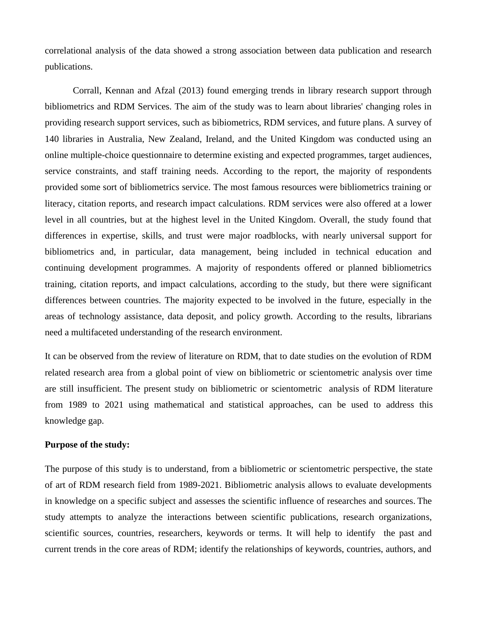correlational analysis of the data showed a strong association between data publication and research publications.

Corrall, Kennan and Afzal (2013) found emerging trends in library research support through bibliometrics and RDM Services. The aim of the study was to learn about libraries' changing roles in providing research support services, such as bibiometrics, RDM services, and future plans. A survey of 140 libraries in Australia, New Zealand, Ireland, and the United Kingdom was conducted using an online multiple-choice questionnaire to determine existing and expected programmes, target audiences, service constraints, and staff training needs. According to the report, the majority of respondents provided some sort of bibliometrics service. The most famous resources were bibliometrics training or literacy, citation reports, and research impact calculations. RDM services were also offered at a lower level in all countries, but at the highest level in the United Kingdom. Overall, the study found that differences in expertise, skills, and trust were major roadblocks, with nearly universal support for bibliometrics and, in particular, data management, being included in technical education and continuing development programmes. A majority of respondents offered or planned bibliometrics training, citation reports, and impact calculations, according to the study, but there were significant differences between countries. The majority expected to be involved in the future, especially in the areas of technology assistance, data deposit, and policy growth. According to the results, librarians need a multifaceted understanding of the research environment.

It can be observed from the review of literature on RDM, that to date studies on the evolution of RDM related research area from a global point of view on bibliometric or scientometric analysis over time are still insufficient. The present study on bibliometric or scientometric analysis of RDM literature from 1989 to 2021 using mathematical and statistical approaches, can be used to address this knowledge gap.

#### **Purpose of the study:**

The purpose of this study is to understand, from a bibliometric or scientometric perspective, the state of art of RDM research field from 1989-2021. Bibliometric analysis allows to evaluate developments in knowledge on a specific subject and assesses the scientific influence of researches and sources. The study attempts to analyze the interactions between scientific publications, research organizations, scientific sources, countries, researchers, keywords or terms. It will help to identify the past and current trends in the core areas of RDM; identify the relationships of keywords, countries, authors, and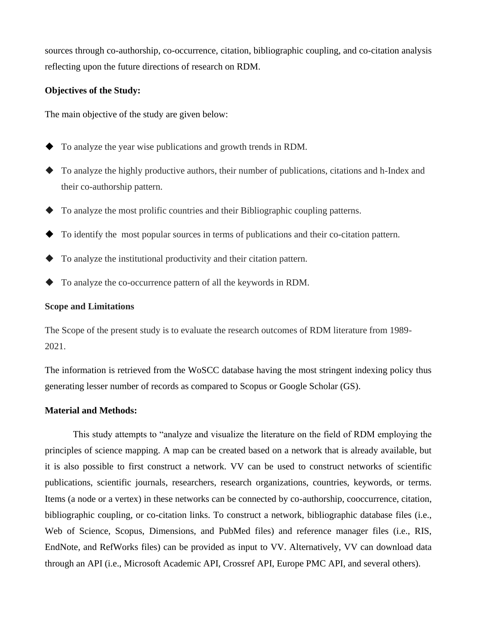sources through co-authorship, co-occurrence, citation, bibliographic coupling, and co-citation analysis reflecting upon the future directions of research on RDM.

#### **Objectives of the Study:**

The main objective of the study are given below:

- ◆ To analyze the year wise publications and growth trends in RDM.
- ◆ To analyze the highly productive authors, their number of publications, citations and h-Index and their co-authorship pattern.
- ◆ To analyze the most prolific countries and their Bibliographic coupling patterns.
- ◆ To identify the most popular sources in terms of publications and their co-citation pattern.
- ◆ To analyze the institutional productivity and their citation pattern.
- ◆ To analyze the co-occurrence pattern of all the keywords in RDM.

#### **Scope and Limitations**

The Scope of the present study is to evaluate the research outcomes of RDM literature from 1989- 2021.

The information is retrieved from the WoSCC database having the most stringent indexing policy thus generating lesser number of records as compared to Scopus or Google Scholar (GS).

#### **Material and Methods:**

This study attempts to "analyze and visualize the literature on the field of RDM employing the principles of science mapping. A map can be created based on a network that is already available, but it is also possible to first construct a network. VV can be used to construct networks of scientific publications, scientific journals, researchers, research organizations, countries, keywords, or terms. Items (a node or a vertex) in these networks can be connected by co-authorship, cooccurrence, citation, bibliographic coupling, or co-citation links. To construct a network, bibliographic database files (i.e., Web of Science, Scopus, Dimensions, and PubMed files) and reference manager files (i.e., RIS, EndNote, and RefWorks files) can be provided as input to VV. Alternatively, VV can download data through an API (i.e., Microsoft Academic API, Crossref API, Europe PMC API, and several others).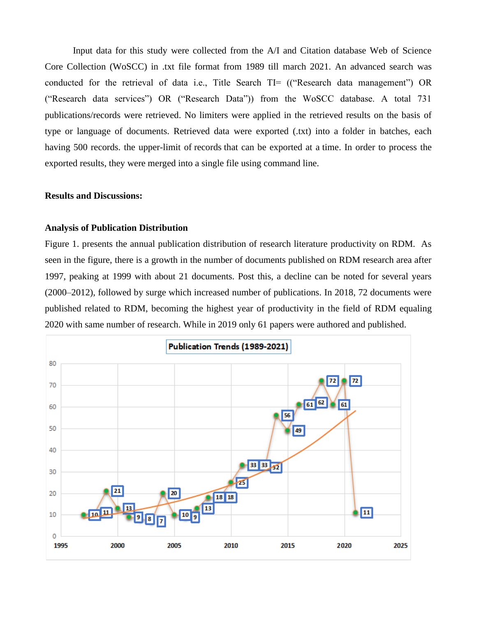Input data for this study were collected from the A/I and Citation database Web of Science Core Collection (WoSCC) in .txt file format from 1989 till march 2021. An advanced search was conducted for the retrieval of data i.e., Title Search TI= (("Research data management") OR ("Research data services") OR ("Research Data")) from the WoSCC database. A total 731 publications/records were retrieved. No limiters were applied in the retrieved results on the basis of type or language of documents. Retrieved data were exported (.txt) into a folder in batches, each having 500 records. the upper-limit of records that can be exported at a time. In order to process the exported results, they were merged into a single file using command line.

#### **Results and Discussions:**

#### **Analysis of Publication Distribution**

Figure 1. presents the annual publication distribution of research literature productivity on RDM. As seen in the figure, there is a growth in the number of documents published on RDM research area after 1997, peaking at 1999 with about 21 documents. Post this, a decline can be noted for several years (2000–2012), followed by surge which increased number of publications. In 2018, 72 documents were published related to RDM, becoming the highest year of productivity in the field of RDM equaling 2020 with same number of research. While in 2019 only 61 papers were authored and published.

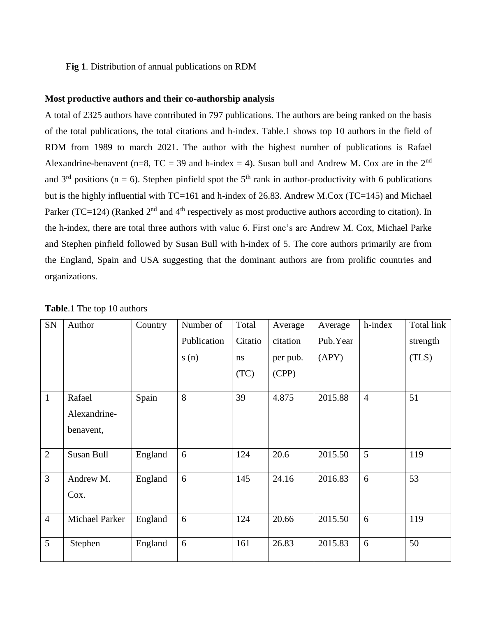#### **Fig 1**. Distribution of annual publications on RDM

#### **Most productive authors and their co-authorship analysis**

A total of 2325 authors have contributed in 797 publications. The authors are being ranked on the basis of the total publications, the total citations and h-index. Table.1 shows top 10 authors in the field of RDM from 1989 to march 2021. The author with the highest number of publications is Rafael Alexandrine-benavent (n=8, TC = 39 and h-index = 4). Susan bull and Andrew M. Cox are in the  $2<sup>nd</sup>$ and  $3<sup>rd</sup>$  positions (n = 6). Stephen pinfield spot the  $5<sup>th</sup>$  rank in author-productivity with 6 publications but is the highly influential with TC=161 and h-index of 26.83. Andrew M.Cox (TC=145) and Michael Parker (TC=124) (Ranked  $2<sup>nd</sup>$  and  $4<sup>th</sup>$  respectively as most productive authors according to citation). In the h-index, there are total three authors with value 6. First one's are Andrew M. Cox, Michael Parke and Stephen pinfield followed by Susan Bull with h-index of 5. The core authors primarily are from the England, Spain and USA suggesting that the dominant authors are from prolific countries and organizations.

| SN             | Author                              | Country | Number of   | Total   | Average  | Average  | h-index        | Total link |
|----------------|-------------------------------------|---------|-------------|---------|----------|----------|----------------|------------|
|                |                                     |         | Publication | Citatio | citation | Pub.Year |                | strength   |
|                |                                     |         | s(n)        | ns      | per pub. | (APY)    |                | (TLS)      |
|                |                                     |         |             | (TC)    | (CPP)    |          |                |            |
| $\mathbf{1}$   | Rafael<br>Alexandrine-<br>benavent, | Spain   | 8           | 39      | 4.875    | 2015.88  | $\overline{4}$ | 51         |
| $\overline{2}$ | Susan Bull                          | England | 6           | 124     | 20.6     | 2015.50  | 5              | 119        |
| 3              | Andrew M.<br>Cox.                   | England | 6           | 145     | 24.16    | 2016.83  | 6              | 53         |
| $\overline{4}$ | Michael Parker                      | England | 6           | 124     | 20.66    | 2015.50  | 6              | 119        |
| 5              | Stephen                             | England | 6           | 161     | 26.83    | 2015.83  | 6              | 50         |

**Table**.1 The top 10 authors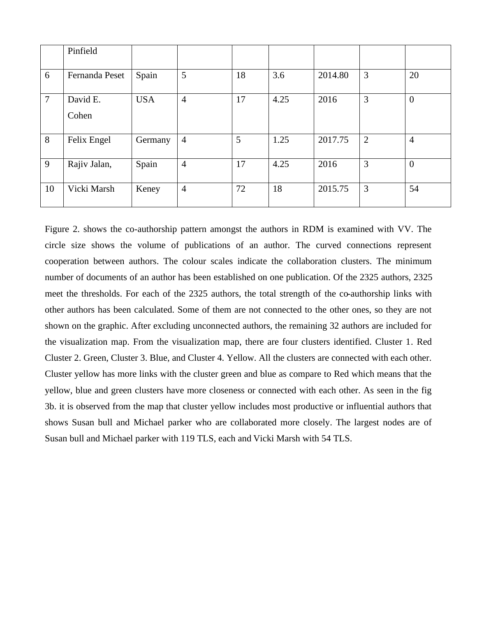|                | Pinfield          |            |                |    |      |         |                |                |
|----------------|-------------------|------------|----------------|----|------|---------|----------------|----------------|
| 6              | Fernanda Peset    | Spain      | 5              | 18 | 3.6  | 2014.80 | 3              | 20             |
| $\overline{7}$ | David E.<br>Cohen | <b>USA</b> | $\overline{4}$ | 17 | 4.25 | 2016    | 3              | $\overline{0}$ |
| 8              | Felix Engel       | Germany    | $\overline{4}$ | 5  | 1.25 | 2017.75 | $\overline{2}$ | $\overline{4}$ |
| 9              | Rajiv Jalan,      | Spain      | $\overline{4}$ | 17 | 4.25 | 2016    | 3              | $\overline{0}$ |
| 10             | Vicki Marsh       | Keney      | $\overline{4}$ | 72 | 18   | 2015.75 | 3              | 54             |

Figure 2. shows the co-authorship pattern amongst the authors in RDM is examined with VV. The circle size shows the volume of publications of an author. The curved connections represent cooperation between authors. The colour scales indicate the collaboration clusters. The minimum number of documents of an author has been established on one publication. Of the 2325 authors, 2325 meet the thresholds. For each of the 2325 authors, the total strength of the co-authorship links with other authors has been calculated. Some of them are not connected to the other ones, so they are not shown on the graphic. After excluding unconnected authors, the remaining 32 authors are included for the visualization map. From the visualization map, there are four clusters identified. Cluster 1. Red Cluster 2. Green, Cluster 3. Blue, and Cluster 4. Yellow. All the clusters are connected with each other. Cluster yellow has more links with the cluster green and blue as compare to Red which means that the yellow, blue and green clusters have more closeness or connected with each other. As seen in the fig 3b. it is observed from the map that cluster yellow includes most productive or influential authors that shows Susan bull and Michael parker who are collaborated more closely. The largest nodes are of Susan bull and Michael parker with 119 TLS, each and Vicki Marsh with 54 TLS.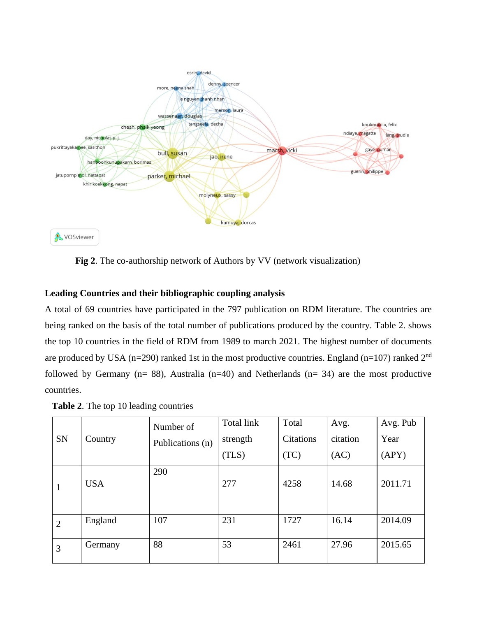

 **Fig 2**. The co-authorship network of Authors by VV (network visualization)

### **Leading Countries and their bibliographic coupling analysis**

A total of 69 countries have participated in the 797 publication on RDM literature. The countries are being ranked on the basis of the total number of publications produced by the country. Table 2. shows the top 10 countries in the field of RDM from 1989 to march 2021. The highest number of documents are produced by USA ( $n=290$ ) ranked 1st in the most productive countries. England ( $n=107$ ) ranked  $2<sup>nd</sup>$ followed by Germany ( $n= 88$ ), Australia ( $n=40$ ) and Netherlands ( $n= 34$ ) are the most productive countries.

| <b>Table 2.</b> The top 10 leading countries |  |  |
|----------------------------------------------|--|--|
|----------------------------------------------|--|--|

| <b>SN</b>      | Country    | Number of<br>Publications (n) | Total link<br>strength<br>(TLS) | Total<br><b>Citations</b><br>(TC) | Avg.<br>citation<br>(AC) | Avg. Pub<br>Year<br>(APY) |
|----------------|------------|-------------------------------|---------------------------------|-----------------------------------|--------------------------|---------------------------|
| 1              | <b>USA</b> | 290                           | 277                             | 4258                              | 14.68                    | 2011.71                   |
| $\overline{2}$ | England    | 107                           | 231                             | 1727                              | 16.14                    | 2014.09                   |
| 3              | Germany    | 88                            | 53                              | 2461                              | 27.96                    | 2015.65                   |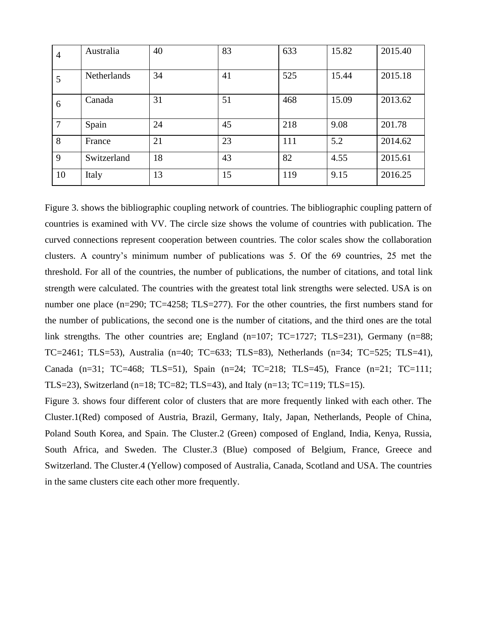| 4      | Australia   | 40 | 83 | 633 | 15.82 | 2015.40 |
|--------|-------------|----|----|-----|-------|---------|
| 5      | Netherlands | 34 | 41 | 525 | 15.44 | 2015.18 |
| 6      | Canada      | 31 | 51 | 468 | 15.09 | 2013.62 |
| $\tau$ | Spain       | 24 | 45 | 218 | 9.08  | 201.78  |
| 8      | France      | 21 | 23 | 111 | 5.2   | 2014.62 |
| 9      | Switzerland | 18 | 43 | 82  | 4.55  | 2015.61 |
| 10     | Italy       | 13 | 15 | 119 | 9.15  | 2016.25 |

Figure 3. shows the bibliographic coupling network of countries. The bibliographic coupling pattern of countries is examined with VV. The circle size shows the volume of countries with publication. The curved connections represent cooperation between countries. The color scales show the collaboration clusters. A country's minimum number of publications was 5. Of the 69 countries, 25 met the threshold. For all of the countries, the number of publications, the number of citations, and total link strength were calculated. The countries with the greatest total link strengths were selected. USA is on number one place (n=290; TC=4258; TLS=277). For the other countries, the first numbers stand for the number of publications, the second one is the number of citations, and the third ones are the total link strengths. The other countries are; England (n=107; TC=1727; TLS=231), Germany (n=88; TC=2461; TLS=53), Australia (n=40; TC=633; TLS=83), Netherlands (n=34; TC=525; TLS=41), Canada (n=31; TC=468; TLS=51), Spain (n=24; TC=218; TLS=45), France (n=21; TC=111; TLS=23), Switzerland (n=18; TC=82; TLS=43), and Italy (n=13; TC=119; TLS=15).

Figure 3. shows four different color of clusters that are more frequently linked with each other. The Cluster.1(Red) composed of Austria, Brazil, Germany, Italy, Japan, Netherlands, People of China, Poland South Korea, and Spain. The Cluster.2 (Green) composed of England, India, Kenya, Russia, South Africa, and Sweden. The Cluster.3 (Blue) composed of Belgium, France, Greece and Switzerland. The Cluster.4 (Yellow) composed of Australia, Canada, Scotland and USA. The countries in the same clusters cite each other more frequently.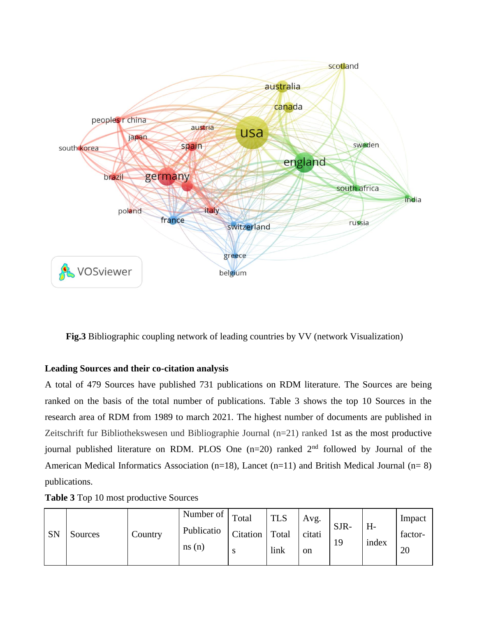

 **Fig.3** Bibliographic coupling network of leading countries by VV (network Visualization)

## **Leading Sources and their co-citation analysis**

A total of 479 Sources have published 731 publications on RDM literature. The Sources are being ranked on the basis of the total number of publications. Table 3 shows the top 10 Sources in the research area of RDM from 1989 to march 2021. The highest number of documents are published in Zeitschrift fur Bibliothekswesen und Bibliographie Journal (n=21) ranked 1st as the most productive journal published literature on RDM. PLOS One  $(n=20)$  ranked  $2<sup>nd</sup>$  followed by Journal of the American Medical Informatics Association (n=18), Lancet (n=11) and British Medical Journal (n= 8) publications.

|  |  | Table 3 Top 10 most productive Sources |  |
|--|--|----------------------------------------|--|
|--|--|----------------------------------------|--|

|           |         |         | Number of $\vert$ Total |                        | <b>TLS</b> | Avg.         | SJR- | $H -$ | Impact        |
|-----------|---------|---------|-------------------------|------------------------|------------|--------------|------|-------|---------------|
| <b>SN</b> | Sources | Country | Publicatio<br>ns(n)     | Citation   Total<br>ю. | link       | citati<br>on | 19   | index | factor-<br>20 |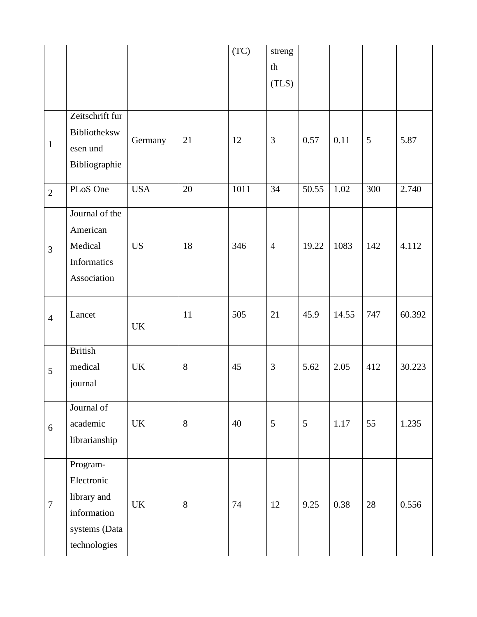|                |                                                                                       |                                   |    | (TC) | streng         |       |       |     |        |
|----------------|---------------------------------------------------------------------------------------|-----------------------------------|----|------|----------------|-------|-------|-----|--------|
|                |                                                                                       |                                   |    |      | th             |       |       |     |        |
|                |                                                                                       |                                   |    |      | (TLS)          |       |       |     |        |
|                |                                                                                       |                                   |    |      |                |       |       |     |        |
| $\mathbf{1}$   | Zeitschrift fur<br>Bibliotheksw<br>esen und<br>Bibliographie                          | Germany                           | 21 | 12   | $\mathfrak{Z}$ | 0.57  | 0.11  | 5   | 5.87   |
| $\overline{2}$ | PLoS One                                                                              | <b>USA</b>                        | 20 | 1011 | 34             | 50.55 | 1.02  | 300 | 2.740  |
| 3              | Journal of the<br>American<br>Medical<br>Informatics<br>Association                   | <b>US</b>                         | 18 | 346  | $\overline{4}$ | 19.22 | 1083  | 142 | 4.112  |
| $\overline{4}$ | Lancet                                                                                | <b>UK</b>                         | 11 | 505  | 21             | 45.9  | 14.55 | 747 | 60.392 |
| 5              | <b>British</b><br>medical<br>journal                                                  | UK                                | 8  | 45   | $\mathfrak{Z}$ | 5.62  | 2.05  | 412 | 30.223 |
| 6              | Journal of<br>academic<br>librarianship                                               | <b>UK</b>                         | 8  | 40   | $\mathfrak{S}$ | 5     | 1.17  | 55  | 1.235  |
| $\overline{7}$ | Program-<br>Electronic<br>library and<br>information<br>systems (Data<br>technologies | $\ensuremath{\mathrm{UK}}\xspace$ | 8  | 74   | 12             | 9.25  | 0.38  | 28  | 0.556  |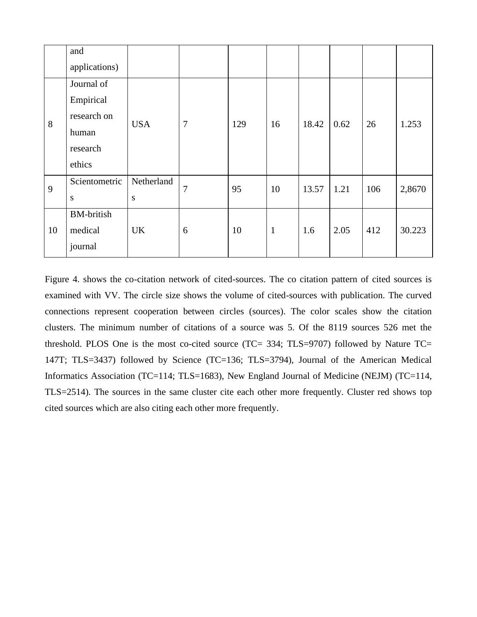|    | and<br>applications)                                                  |                 |                |     |              |       |      |     |        |
|----|-----------------------------------------------------------------------|-----------------|----------------|-----|--------------|-------|------|-----|--------|
| 8  | Journal of<br>Empirical<br>research on<br>human<br>research<br>ethics | <b>USA</b>      | $\overline{7}$ | 129 | 16           | 18.42 | 0.62 | 26  | 1.253  |
| 9  | Scientometric<br>S                                                    | Netherland<br>S | $\overline{7}$ | 95  | 10           | 13.57 | 1.21 | 106 | 2,8670 |
| 10 | <b>BM-british</b><br>medical<br>journal                               | <b>UK</b>       | 6              | 10  | $\mathbf{1}$ | 1.6   | 2.05 | 412 | 30.223 |

Figure 4. shows the co-citation network of cited-sources. The co citation pattern of cited sources is examined with VV. The circle size shows the volume of cited-sources with publication. The curved connections represent cooperation between circles (sources). The color scales show the citation clusters. The minimum number of citations of a source was 5. Of the 8119 sources 526 met the threshold. PLOS One is the most co-cited source (TC= 334; TLS=9707) followed by Nature TC= 147T; TLS=3437) followed by Science (TC=136; TLS=3794), Journal of the American Medical Informatics Association (TC=114; TLS=1683), New England Journal of Medicine (NEJM) (TC=114, TLS=2514). The sources in the same cluster cite each other more frequently. Cluster red shows top cited sources which are also citing each other more frequently.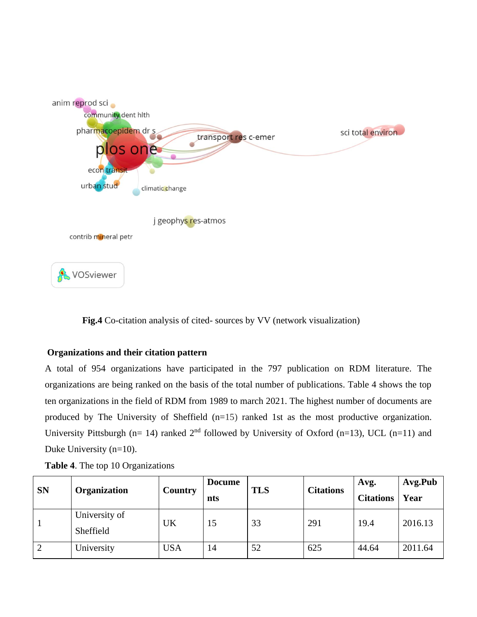

 **Fig.4** Co-citation analysis of cited- sources by VV (network visualization)

## **Organizations and their citation pattern**

A total of 954 organizations have participated in the 797 publication on RDM literature. The organizations are being ranked on the basis of the total number of publications. Table 4 shows the top ten organizations in the field of RDM from 1989 to march 2021. The highest number of documents are produced by The University of Sheffield (n=15) ranked 1st as the most productive organization. University Pittsburgh (n= 14) ranked  $2<sup>nd</sup>$  followed by University of Oxford (n=13), UCL (n=11) and Duke University (n=10).

| <b>SN</b> | <b>Organization</b>        | Country    | <b>Docume</b><br>nts | <b>TLS</b> | <b>Citations</b> | Avg.<br><b>Citations</b> | Avg.Pub<br>Year |
|-----------|----------------------------|------------|----------------------|------------|------------------|--------------------------|-----------------|
|           | University of<br>Sheffield | UK         | 15                   | 33         | 291              | 19.4                     | 2016.13         |
|           | University                 | <b>USA</b> | 14                   | 52         | 625              | 44.64                    | 2011.64         |

**Table 4**. The top 10 Organizations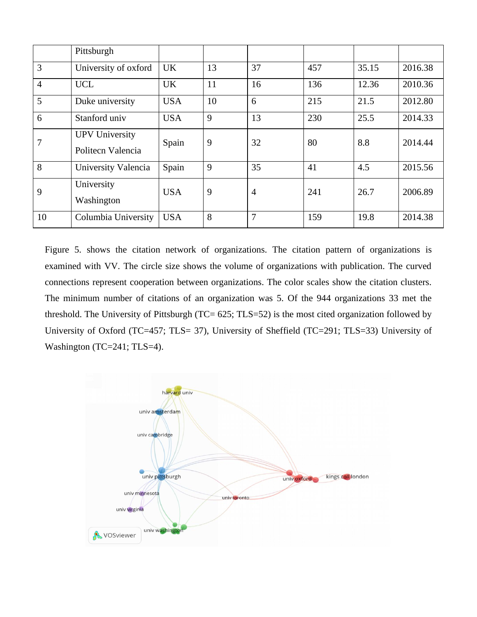|                | Pittsburgh                                 |            |    |                |     |       |         |
|----------------|--------------------------------------------|------------|----|----------------|-----|-------|---------|
| 3              | University of oxford                       | <b>UK</b>  | 13 | 37             | 457 | 35.15 | 2016.38 |
| $\overline{4}$ | <b>UCL</b>                                 | <b>UK</b>  | 11 | 16             | 136 | 12.36 | 2010.36 |
| 5              | Duke university                            | <b>USA</b> | 10 | 6              | 215 | 21.5  | 2012.80 |
| 6              | Stanford univ                              | <b>USA</b> | 9  | 13             | 230 | 25.5  | 2014.33 |
| 7              | <b>UPV University</b><br>Politecn Valencia | Spain      | 9  | 32             | 80  | 8.8   | 2014.44 |
| 8              | University Valencia                        | Spain      | 9  | 35             | 41  | 4.5   | 2015.56 |
| 9              | University<br>Washington                   | <b>USA</b> | 9  | $\overline{4}$ | 241 | 26.7  | 2006.89 |
| 10             | Columbia University                        | <b>USA</b> | 8  | 7              | 159 | 19.8  | 2014.38 |

Figure 5. shows the citation network of organizations. The citation pattern of organizations is examined with VV. The circle size shows the volume of organizations with publication. The curved connections represent cooperation between organizations. The color scales show the citation clusters. The minimum number of citations of an organization was 5. Of the 944 organizations 33 met the threshold. The University of Pittsburgh (TC= 625; TLS=52) is the most cited organization followed by University of Oxford (TC=457; TLS= 37), University of Sheffield (TC=291; TLS=33) University of Washington (TC=241; TLS=4).

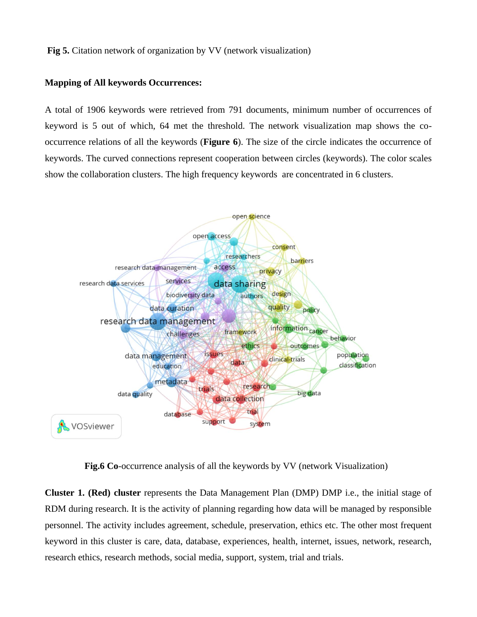#### **Fig 5.** Citation network of organization by VV (network visualization)

#### **Mapping of All keywords Occurrences:**

A total of 1906 keywords were retrieved from 791 documents, minimum number of occurrences of keyword is 5 out of which, 64 met the threshold. The network visualization map shows the cooccurrence relations of all the keywords (**Figure 6**). The size of the circle indicates the occurrence of keywords. The curved connections represent cooperation between circles (keywords). The color scales show the collaboration clusters. The high frequency keywords are concentrated in 6 clusters.



 **Fig.6 Co**-occurrence analysis of all the keywords by VV (network Visualization)

**Cluster 1. (Red) cluster** represents the Data Management Plan (DMP) DMP i.e., the initial stage of RDM during research. It is the activity of planning regarding how data will be managed by responsible personnel. The activity includes agreement, schedule, preservation, ethics etc. The other most frequent keyword in this cluster is care, data, database, experiences, health, internet, issues, network, research, research ethics, research methods, social media, support, system, trial and trials.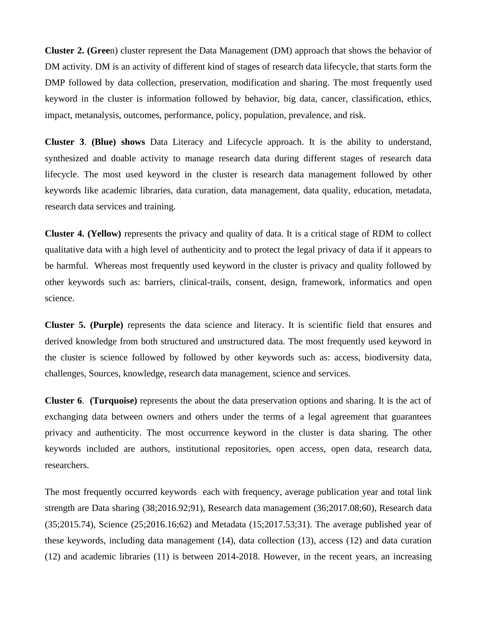**Cluster 2. (Gree**n) cluster represent the Data Management (DM) approach that shows the behavior of DM activity. DM is an activity of different kind of stages of research data lifecycle, that starts form the DMP followed by data collection, preservation, modification and sharing. The most frequently used keyword in the cluster is information followed by behavior, big data, cancer, classification, ethics, impact, metanalysis, outcomes, performance, policy, population, prevalence, and risk.

**Cluster 3**. **(Blue) shows** Data Literacy and Lifecycle approach. It is the ability to understand, synthesized and doable activity to manage research data during different stages of research data lifecycle. The most used keyword in the cluster is research data management followed by other keywords like academic libraries, data curation, data management, data quality, education, metadata, research data services and training.

**Cluster 4. (Yellow)** represents the privacy and quality of data. It is a critical stage of RDM to collect qualitative data with a high level of authenticity and to protect the legal privacy of data if it appears to be harmful. Whereas most frequently used keyword in the cluster is privacy and quality followed by other keywords such as: barriers, clinical-trails, consent, design, framework, informatics and open science.

**Cluster 5. (Purple)** represents the data science and literacy. It is scientific field that ensures and derived knowledge from both structured and unstructured data. The most frequently used keyword in the cluster is science followed by followed by other keywords such as: access, biodiversity data, challenges, Sources, knowledge, research data management, science and services.

**Cluster 6**. **(Turquoise)** represents the about the data preservation options and sharing. It is the act of exchanging data between owners and others under the terms of a legal agreement that guarantees privacy and authenticity. The most occurrence keyword in the cluster is data sharing. The other keywords included are authors, institutional repositories, open access, open data, research data, researchers.

The most frequently occurred keywords each with frequency, average publication year and total link strength are Data sharing (38;2016.92;91), Research data management (36;2017.08;60), Research data (35;2015.74), Science (25;2016.16;62) and Metadata (15;2017.53;31). The average published year of these keywords, including data management (14), data collection (13), access (12) and data curation (12) and academic libraries (11) is between 2014-2018. However, in the recent years, an increasing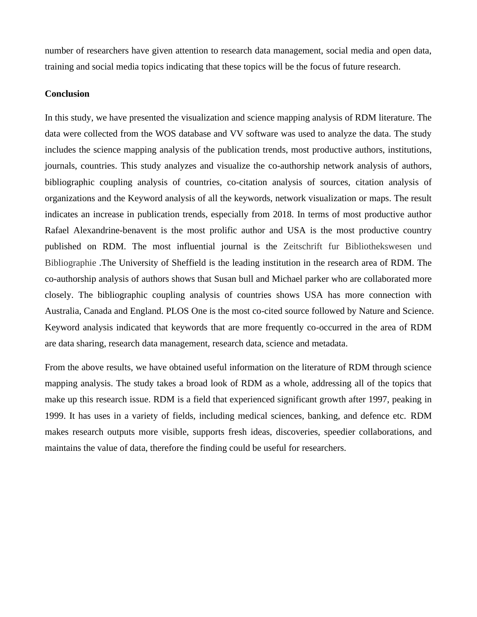number of researchers have given attention to research data management, social media and open data, training and social media topics indicating that these topics will be the focus of future research.

#### **Conclusion**

In this study, we have presented the visualization and science mapping analysis of RDM literature. The data were collected from the WOS database and VV software was used to analyze the data. The study includes the science mapping analysis of the publication trends, most productive authors, institutions, journals, countries. This study analyzes and visualize the co-authorship network analysis of authors, bibliographic coupling analysis of countries, co-citation analysis of sources, citation analysis of organizations and the Keyword analysis of all the keywords, network visualization or maps. The result indicates an increase in publication trends, especially from 2018. In terms of most productive author Rafael Alexandrine-benavent is the most prolific author and USA is the most productive country published on RDM. The most influential journal is the Zeitschrift fur Bibliothekswesen und Bibliographie .The University of Sheffield is the leading institution in the research area of RDM. The co-authorship analysis of authors shows that Susan bull and Michael parker who are collaborated more closely. The bibliographic coupling analysis of countries shows USA has more connection with Australia, Canada and England. PLOS One is the most co-cited source followed by Nature and Science. Keyword analysis indicated that keywords that are more frequently co-occurred in the area of RDM are data sharing, research data management, research data, science and metadata.

From the above results, we have obtained useful information on the literature of RDM through science mapping analysis. The study takes a broad look of RDM as a whole, addressing all of the topics that make up this research issue. RDM is a field that experienced significant growth after 1997, peaking in 1999. It has uses in a variety of fields, including medical sciences, banking, and defence etc. RDM makes research outputs more visible, supports fresh ideas, discoveries, speedier collaborations, and maintains the value of data, therefore the finding could be useful for researchers.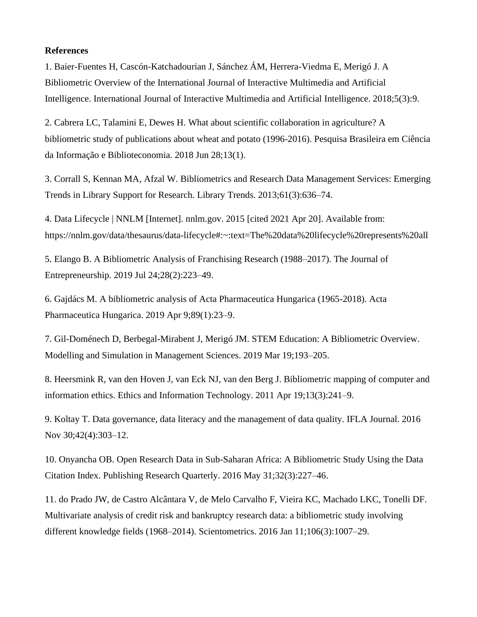#### **References**

1. Baier-Fuentes H, Cascón-Katchadourian J, Sánchez ÁM, Herrera-Viedma E, Merigó J. A Bibliometric Overview of the International Journal of Interactive Multimedia and Artificial Intelligence. International Journal of Interactive Multimedia and Artificial Intelligence. 2018;5(3):9.

2. Cabrera LC, Talamini E, Dewes H. What about scientific collaboration in agriculture? A bibliometric study of publications about wheat and potato (1996-2016). Pesquisa Brasileira em Ciência da Informação e Biblioteconomia. 2018 Jun 28;13(1).

3. Corrall S, Kennan MA, Afzal W. Bibliometrics and Research Data Management Services: Emerging Trends in Library Support for Research. Library Trends. 2013;61(3):636–74.

4. Data Lifecycle | NNLM [Internet]. nnlm.gov. 2015 [cited 2021 Apr 20]. Available from: <https://nnlm.gov/data/thesaurus/data-lifecycle#:~:text=The%20data%20lifecycle%20represents%20all>

5. Elango B. A Bibliometric Analysis of Franchising Research (1988–2017). The Journal of Entrepreneurship. 2019 Jul 24;28(2):223–49.

6. Gajdács M. A bibliometric analysis of Acta Pharmaceutica Hungarica (1965-2018). Acta Pharmaceutica Hungarica. 2019 Apr 9;89(1):23–9.

7. Gil-Doménech D, Berbegal-Mirabent J, Merigó JM. STEM Education: A Bibliometric Overview. Modelling and Simulation in Management Sciences. 2019 Mar 19;193–205.

8. Heersmink R, van den Hoven J, van Eck NJ, van den Berg J. Bibliometric mapping of computer and information ethics. Ethics and Information Technology. 2011 Apr 19;13(3):241–9.

9. Koltay T. Data governance, data literacy and the management of data quality. IFLA Journal. 2016 Nov 30;42(4):303–12.

10. Onyancha OB. Open Research Data in Sub-Saharan Africa: A Bibliometric Study Using the Data Citation Index. Publishing Research Quarterly. 2016 May 31;32(3):227–46.

11. do Prado JW, de Castro Alcântara V, de Melo Carvalho F, Vieira KC, Machado LKC, Tonelli DF. Multivariate analysis of credit risk and bankruptcy research data: a bibliometric study involving different knowledge fields (1968–2014). Scientometrics. 2016 Jan 11;106(3):1007–29.